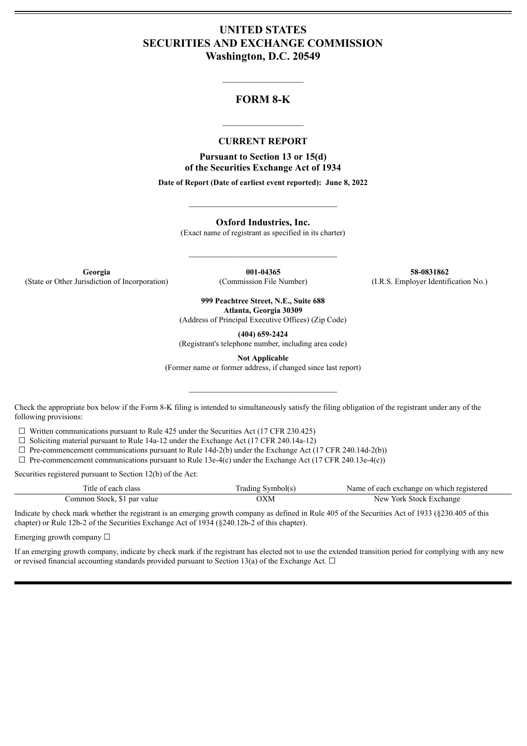## **UNITED STATES SECURITIES AND EXCHANGE COMMISSION Washington, D.C. 20549**

## **FORM 8-K**

 $\mathcal{L}_\text{max}$  and  $\mathcal{L}_\text{max}$  and  $\mathcal{L}_\text{max}$ 

#### **CURRENT REPORT**

 $\frac{1}{2}$  ,  $\frac{1}{2}$  ,  $\frac{1}{2}$  ,  $\frac{1}{2}$  ,  $\frac{1}{2}$  ,  $\frac{1}{2}$  ,  $\frac{1}{2}$ 

**Pursuant to Section 13 or 15(d) of the Securities Exchange Act of 1934**

**Date of Report (Date of earliest event reported): June 8, 2022**

**Oxford Industries, Inc.**

(Exact name of registrant as specified in its charter)

 $\mathcal{L}_\text{max}$  and  $\mathcal{L}_\text{max}$  and  $\mathcal{L}_\text{max}$ 

 $\_$ 

**Georgia 001-04365 58-0831862** (State or Other Jurisdiction of Incorporation) (Commission File Number) (I.R.S. Employer Identification No.)

**999 Peachtree Street, N.E., Suite 688 Atlanta, Georgia 30309**

(Address of Principal Executive Offices) (Zip Code)

**(404) 659-2424**

(Registrant's telephone number, including area code)

**Not Applicable**

(Former name or former address, if changed since last report)

 $\mathcal{L}_\text{max}$  and  $\mathcal{L}_\text{max}$  and  $\mathcal{L}_\text{max}$ 

Check the appropriate box below if the Form 8-K filing is intended to simultaneously satisfy the filing obligation of the registrant under any of the following provisions:

 $\Box$  Written communications pursuant to Rule 425 under the Securities Act (17 CFR 230.425)

 $\Box$  Soliciting material pursuant to Rule 14a-12 under the Exchange Act (17 CFR 240.14a-12)

 $\Box$  Pre-commencement communications pursuant to Rule 14d-2(b) under the Exchange Act (17 CFR 240.14d-2(b))

 $\Box$  Pre-commencement communications pursuant to Rule 13e-4(c) under the Exchange Act (17 CFR 240.13e-4(c))

Securities registered pursuant to Section 12(b) of the Act:

| Title of each class         | Frading Symbol(s) | Name of each exchange on which registered |
|-----------------------------|-------------------|-------------------------------------------|
| Common Stock, \$1 par value | )XM               | New York Stock Exchange                   |

Indicate by check mark whether the registrant is an emerging growth company as defined in Rule 405 of the Securities Act of 1933 (§230.405 of this chapter) or Rule 12b-2 of the Securities Exchange Act of 1934 (§240.12b-2 of this chapter).

Emerging growth company  $\Box$ 

If an emerging growth company, indicate by check mark if the registrant has elected not to use the extended transition period for complying with any new or revised financial accounting standards provided pursuant to Section 13(a) of the Exchange Act.  $\Box$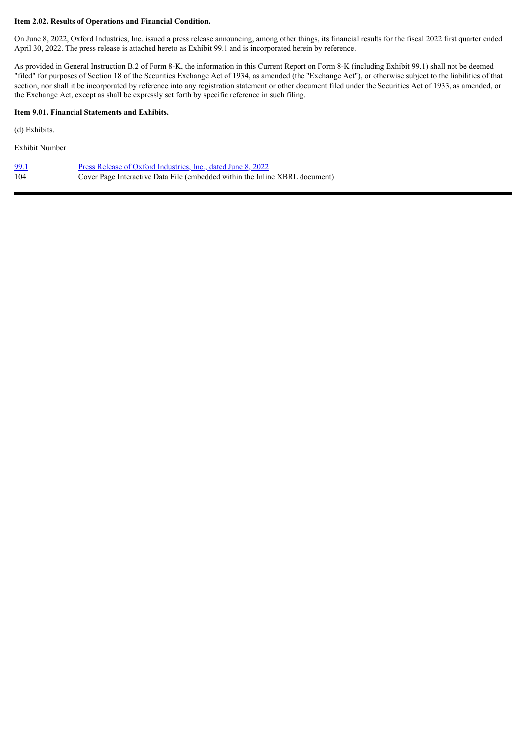#### **Item 2.02. Results of Operations and Financial Condition.**

On June 8, 2022, Oxford Industries, Inc. issued a press release announcing, among other things, its financial results for the fiscal 2022 first quarter ended April 30, 2022. The press release is attached hereto as Exhibit 99.1 and is incorporated herein by reference.

As provided in General Instruction B.2 of Form 8-K, the information in this Current Report on Form 8-K (including Exhibit 99.1) shall not be deemed "filed" for purposes of Section 18 of the Securities Exchange Act of 1934, as amended (the "Exchange Act"), or otherwise subject to the liabilities of that section, nor shall it be incorporated by reference into any registration statement or other document filed under the Securities Act of 1933, as amended, or the Exchange Act, except as shall be expressly set forth by specific reference in such filing.

#### **Item 9.01. Financial Statements and Exhibits.**

(d) Exhibits.

Exhibit Number

| 99.1 | Press Release of Oxford Industries, Inc., dated June 8, 2022                |
|------|-----------------------------------------------------------------------------|
| 104  | Cover Page Interactive Data File (embedded within the Inline XBRL document) |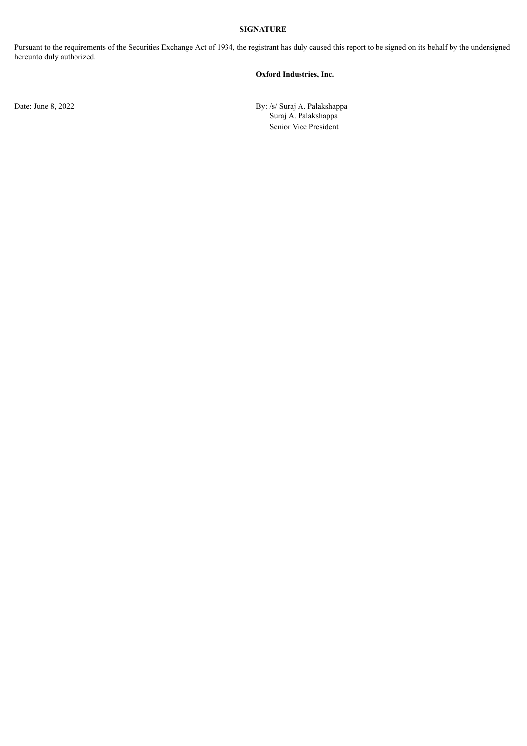#### **SIGNATURE**

Pursuant to the requirements of the Securities Exchange Act of 1934, the registrant has duly caused this report to be signed on its behalf by the undersigned hereunto duly authorized.

#### **Oxford Industries, Inc.**

Date: June 8, 2022 By: /s/ Suraj A. Palakshappa Suraj A. Palakshappa Senior Vice President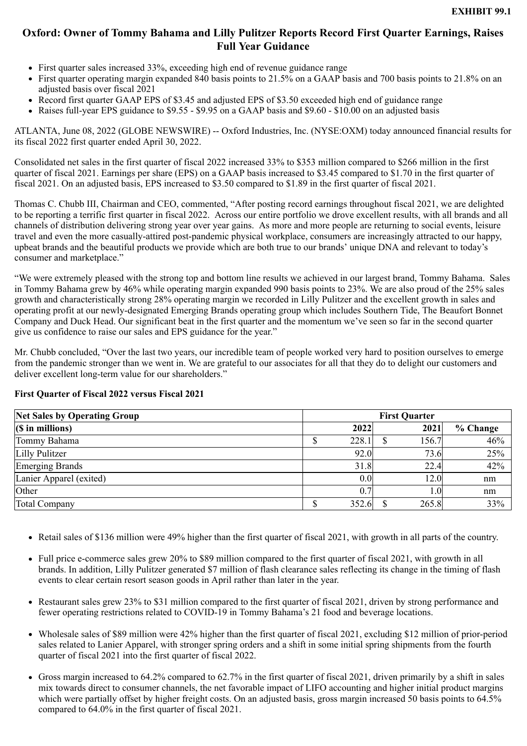# <span id="page-3-0"></span>**Oxford: Owner of Tommy Bahama and Lilly Pulitzer Reports Record First Quarter Earnings, Raises Full Year Guidance**

- First quarter sales increased 33%, exceeding high end of revenue guidance range
- First quarter operating margin expanded 840 basis points to 21.5% on a GAAP basis and 700 basis points to 21.8% on an adjusted basis over fiscal 2021
- Record first quarter GAAP EPS of \$3.45 and adjusted EPS of \$3.50 exceeded high end of guidance range
- Raises full-year EPS guidance to \$9.55 \$9.95 on a GAAP basis and \$9.60 \$10.00 on an adjusted basis

ATLANTA, June 08, 2022 (GLOBE NEWSWIRE) -- Oxford Industries, Inc. (NYSE:OXM) today announced financial results for its fiscal 2022 first quarter ended April 30, 2022.

Consolidated net sales in the first quarter of fiscal 2022 increased 33% to \$353 million compared to \$266 million in the first quarter of fiscal 2021. Earnings per share (EPS) on a GAAP basis increased to \$3.45 compared to \$1.70 in the first quarter of fiscal 2021. On an adjusted basis, EPS increased to \$3.50 compared to \$1.89 in the first quarter of fiscal 2021.

Thomas C. Chubb III, Chairman and CEO, commented, "After posting record earnings throughout fiscal 2021, we are delighted to be reporting a terrific first quarter in fiscal 2022. Across our entire portfolio we drove excellent results, with all brands and all channels of distribution delivering strong year over year gains. As more and more people are returning to social events, leisure travel and even the more casually-attired post-pandemic physical workplace, consumers are increasingly attracted to our happy, upbeat brands and the beautiful products we provide which are both true to our brands' unique DNA and relevant to today's consumer and marketplace."

"We were extremely pleased with the strong top and bottom line results we achieved in our largest brand, Tommy Bahama. Sales in Tommy Bahama grew by 46% while operating margin expanded 990 basis points to 23%. We are also proud of the 25% sales growth and characteristically strong 28% operating margin we recorded in Lilly Pulitzer and the excellent growth in sales and operating profit at our newly-designated Emerging Brands operating group which includes Southern Tide, The Beaufort Bonnet Company and Duck Head. Our significant beat in the first quarter and the momentum we've seen so far in the second quarter give us confidence to raise our sales and EPS guidance for the year."

Mr. Chubb concluded, "Over the last two years, our incredible team of people worked very hard to position ourselves to emerge from the pandemic stronger than we went in. We are grateful to our associates for all that they do to delight our customers and deliver excellent long-term value for our shareholders."

| <b>Net Sales by Operating Group</b> | <b>First Quarter</b> |            |  |       |          |
|-------------------------------------|----------------------|------------|--|-------|----------|
| $(S \in \mathbb{R})$ in millions)   |                      | 2022       |  | 2021  | % Change |
| Tommy Bahama                        |                      | 228.1      |  | 156.7 | 46%      |
| Lilly Pulitzer                      |                      | 92.0       |  | 73.6  | 25%      |
| <b>Emerging Brands</b>              |                      | 31.8       |  | 22.4  | 42%      |
| Lanier Apparel (exited)             |                      | 0.0        |  | 12.0  | nm       |
| Other                               |                      | $\theta$ . |  | 0.1   | nm       |
| <b>Total Company</b>                |                      | 352.6      |  | 265.8 | 33%      |

### **First Quarter of Fiscal 2022 versus Fiscal 2021**

- Retail sales of \$136 million were 49% higher than the first quarter of fiscal 2021, with growth in all parts of the country.
- Full price e-commerce sales grew 20% to \$89 million compared to the first quarter of fiscal 2021, with growth in all brands. In addition, Lilly Pulitzer generated \$7 million of flash clearance sales reflecting its change in the timing of flash events to clear certain resort season goods in April rather than later in the year.
- Restaurant sales grew 23% to \$31 million compared to the first quarter of fiscal 2021, driven by strong performance and fewer operating restrictions related to COVID-19 in Tommy Bahama's 21 food and beverage locations.
- Wholesale sales of \$89 million were 42% higher than the first quarter of fiscal 2021, excluding \$12 million of prior-period sales related to Lanier Apparel, with stronger spring orders and a shift in some initial spring shipments from the fourth quarter of fiscal 2021 into the first quarter of fiscal 2022.
- Gross margin increased to 64.2% compared to 62.7% in the first quarter of fiscal 2021, driven primarily by a shift in sales mix towards direct to consumer channels, the net favorable impact of LIFO accounting and higher initial product margins which were partially offset by higher freight costs. On an adjusted basis, gross margin increased 50 basis points to 64.5% compared to 64.0% in the first quarter of fiscal 2021.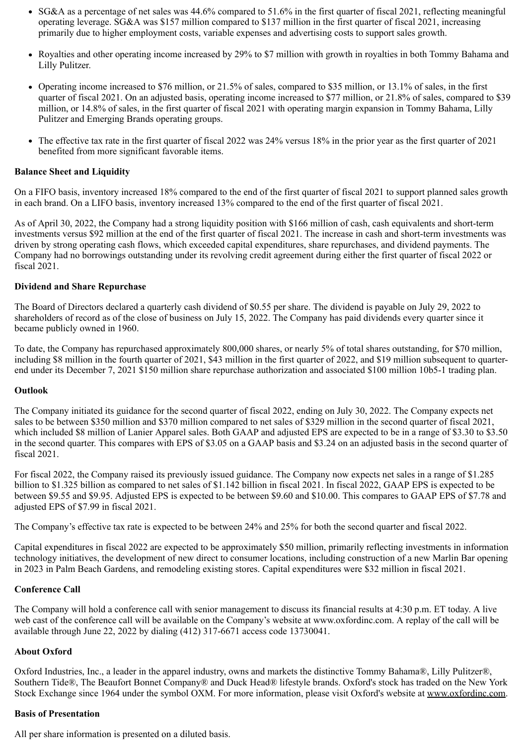- SG&A as a percentage of net sales was 44.6% compared to 51.6% in the first quarter of fiscal 2021, reflecting meaningful operating leverage. SG&A was \$157 million compared to \$137 million in the first quarter of fiscal 2021, increasing primarily due to higher employment costs, variable expenses and advertising costs to support sales growth.
- Royalties and other operating income increased by 29% to \$7 million with growth in royalties in both Tommy Bahama and Lilly Pulitzer.
- Operating income increased to \$76 million, or  $21.5\%$  of sales, compared to \$35 million, or 13.1% of sales, in the first quarter of fiscal 2021. On an adjusted basis, operating income increased to \$77 million, or 21.8% of sales, compared to \$39 million, or 14.8% of sales, in the first quarter of fiscal 2021 with operating margin expansion in Tommy Bahama, Lilly Pulitzer and Emerging Brands operating groups.
- The effective tax rate in the first quarter of fiscal 2022 was 24% versus 18% in the prior year as the first quarter of 2021 benefited from more significant favorable items.

### **Balance Sheet and Liquidity**

On a FIFO basis, inventory increased 18% compared to the end of the first quarter of fiscal 2021 to support planned sales growth in each brand. On a LIFO basis, inventory increased 13% compared to the end of the first quarter of fiscal 2021.

As of April 30, 2022, the Company had a strong liquidity position with \$166 million of cash, cash equivalents and short-term investments versus \$92 million at the end of the first quarter of fiscal 2021. The increase in cash and short-term investments was driven by strong operating cash flows, which exceeded capital expenditures, share repurchases, and dividend payments. The Company had no borrowings outstanding under its revolving credit agreement during either the first quarter of fiscal 2022 or fiscal 2021.

### **Dividend and Share Repurchase**

The Board of Directors declared a quarterly cash dividend of \$0.55 per share. The dividend is payable on July 29, 2022 to shareholders of record as of the close of business on July 15, 2022. The Company has paid dividends every quarter since it became publicly owned in 1960.

To date, the Company has repurchased approximately 800,000 shares, or nearly 5% of total shares outstanding, for \$70 million, including \$8 million in the fourth quarter of 2021, \$43 million in the first quarter of 2022, and \$19 million subsequent to quarterend under its December 7, 2021 \$150 million share repurchase authorization and associated \$100 million 10b5-1 trading plan.

### **Outlook**

The Company initiated its guidance for the second quarter of fiscal 2022, ending on July 30, 2022. The Company expects net sales to be between \$350 million and \$370 million compared to net sales of \$329 million in the second quarter of fiscal 2021, which included \$8 million of Lanier Apparel sales. Both GAAP and adjusted EPS are expected to be in a range of \$3.30 to \$3.50 in the second quarter. This compares with EPS of \$3.05 on a GAAP basis and \$3.24 on an adjusted basis in the second quarter of fiscal 2021.

For fiscal 2022, the Company raised its previously issued guidance. The Company now expects net sales in a range of \$1.285 billion to \$1.325 billion as compared to net sales of \$1.142 billion in fiscal 2021. In fiscal 2022, GAAP EPS is expected to be between \$9.55 and \$9.95. Adjusted EPS is expected to be between \$9.60 and \$10.00. This compares to GAAP EPS of \$7.78 and adjusted EPS of \$7.99 in fiscal 2021.

The Company's effective tax rate is expected to be between 24% and 25% for both the second quarter and fiscal 2022.

Capital expenditures in fiscal 2022 are expected to be approximately \$50 million, primarily reflecting investments in information technology initiatives, the development of new direct to consumer locations, including construction of a new Marlin Bar opening in 2023 in Palm Beach Gardens, and remodeling existing stores. Capital expenditures were \$32 million in fiscal 2021.

### **Conference Call**

The Company will hold a conference call with senior management to discuss its financial results at 4:30 p.m. ET today. A live web cast of the conference call will be available on the Company's website at www.oxfordinc.com. A replay of the call will be available through June 22, 2022 by dialing (412) 317-6671 access code 13730041.

### **About Oxford**

Oxford Industries, Inc., a leader in the apparel industry, owns and markets the distinctive Tommy Bahama®, Lilly Pulitzer®, Southern Tide®, The Beaufort Bonnet Company® and Duck Head® lifestyle brands. Oxford's stock has traded on the New York Stock Exchange since 1964 under the symbol OXM. For more information, please visit Oxford's website at www.oxfordinc.com.

#### **Basis of Presentation**

All per share information is presented on a diluted basis.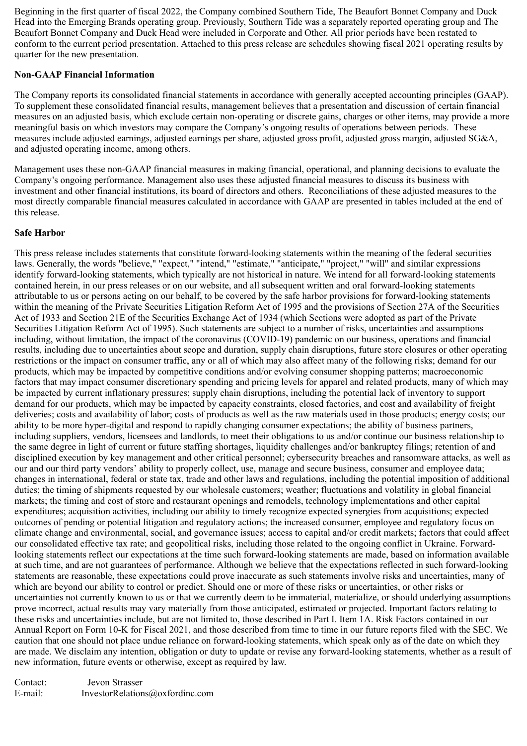Beginning in the first quarter of fiscal 2022, the Company combined Southern Tide, The Beaufort Bonnet Company and Duck Head into the Emerging Brands operating group. Previously, Southern Tide was a separately reported operating group and The Beaufort Bonnet Company and Duck Head were included in Corporate and Other. All prior periods have been restated to conform to the current period presentation. Attached to this press release are schedules showing fiscal 2021 operating results by quarter for the new presentation.

### **Non-GAAP Financial Information**

The Company reports its consolidated financial statements in accordance with generally accepted accounting principles (GAAP). To supplement these consolidated financial results, management believes that a presentation and discussion of certain financial measures on an adjusted basis, which exclude certain non-operating or discrete gains, charges or other items, may provide a more meaningful basis on which investors may compare the Company's ongoing results of operations between periods. These measures include adjusted earnings, adjusted earnings per share, adjusted gross profit, adjusted gross margin, adjusted SG&A, and adjusted operating income, among others.

Management uses these non-GAAP financial measures in making financial, operational, and planning decisions to evaluate the Company's ongoing performance. Management also uses these adjusted financial measures to discuss its business with investment and other financial institutions, its board of directors and others. Reconciliations of these adjusted measures to the most directly comparable financial measures calculated in accordance with GAAP are presented in tables included at the end of this release.

### **Safe Harbor**

This press release includes statements that constitute forward-looking statements within the meaning of the federal securities laws. Generally, the words "believe," "expect," "intend," "estimate," "anticipate," "project," "will" and similar expressions identify forward-looking statements, which typically are not historical in nature. We intend for all forward-looking statements contained herein, in our press releases or on our website, and all subsequent written and oral forward-looking statements attributable to us or persons acting on our behalf, to be covered by the safe harbor provisions for forward-looking statements within the meaning of the Private Securities Litigation Reform Act of 1995 and the provisions of Section 27A of the Securities Act of 1933 and Section 21E of the Securities Exchange Act of 1934 (which Sections were adopted as part of the Private Securities Litigation Reform Act of 1995). Such statements are subject to a number of risks, uncertainties and assumptions including, without limitation, the impact of the coronavirus (COVID-19) pandemic on our business, operations and financial results, including due to uncertainties about scope and duration, supply chain disruptions, future store closures or other operating restrictions or the impact on consumer traffic, any or all of which may also affect many of the following risks; demand for our products, which may be impacted by competitive conditions and/or evolving consumer shopping patterns; macroeconomic factors that may impact consumer discretionary spending and pricing levels for apparel and related products, many of which may be impacted by current inflationary pressures; supply chain disruptions, including the potential lack of inventory to support demand for our products, which may be impacted by capacity constraints, closed factories, and cost and availability of freight deliveries; costs and availability of labor; costs of products as well as the raw materials used in those products; energy costs; our ability to be more hyper-digital and respond to rapidly changing consumer expectations; the ability of business partners, including suppliers, vendors, licensees and landlords, to meet their obligations to us and/or continue our business relationship to the same degree in light of current or future staffing shortages, liquidity challenges and/or bankruptcy filings; retention of and disciplined execution by key management and other critical personnel; cybersecurity breaches and ransomware attacks, as well as our and our third party vendors' ability to properly collect, use, manage and secure business, consumer and employee data; changes in international, federal or state tax, trade and other laws and regulations, including the potential imposition of additional duties; the timing of shipments requested by our wholesale customers; weather; fluctuations and volatility in global financial markets; the timing and cost of store and restaurant openings and remodels, technology implementations and other capital expenditures; acquisition activities, including our ability to timely recognize expected synergies from acquisitions; expected outcomes of pending or potential litigation and regulatory actions; the increased consumer, employee and regulatory focus on climate change and environmental, social, and governance issues; access to capital and/or credit markets; factors that could affect our consolidated effective tax rate; and geopolitical risks, including those related to the ongoing conflict in Ukraine. Forwardlooking statements reflect our expectations at the time such forward-looking statements are made, based on information available at such time, and are not guarantees of performance. Although we believe that the expectations reflected in such forward-looking statements are reasonable, these expectations could prove inaccurate as such statements involve risks and uncertainties, many of which are beyond our ability to control or predict. Should one or more of these risks or uncertainties, or other risks or uncertainties not currently known to us or that we currently deem to be immaterial, materialize, or should underlying assumptions prove incorrect, actual results may vary materially from those anticipated, estimated or projected. Important factors relating to these risks and uncertainties include, but are not limited to, those described in Part I. Item 1A. Risk Factors contained in our Annual Report on Form 10-K for Fiscal 2021, and those described from time to time in our future reports filed with the SEC. We caution that one should not place undue reliance on forward-looking statements, which speak only as of the date on which they are made. We disclaim any intention, obligation or duty to update or revise any forward-looking statements, whether as a result of new information, future events or otherwise, except as required by law.

Contact: Jevon Strasser E-mail: InvestorRelations@oxfordinc.com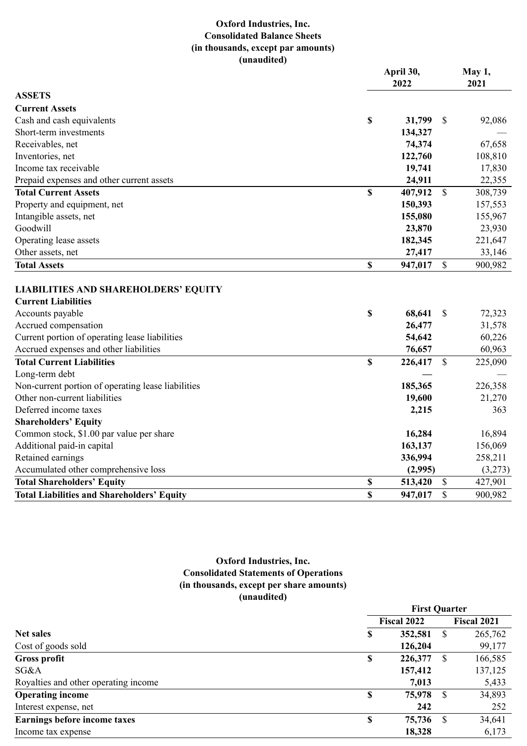## **Oxford Industries, Inc. Consolidated Balance Sheets (in thousands, except par amounts) (unaudited)**

|                                                                           |             | April 30,<br>2022        | May 1,<br>2021 |         |
|---------------------------------------------------------------------------|-------------|--------------------------|----------------|---------|
| <b>ASSETS</b>                                                             |             |                          |                |         |
| <b>Current Assets</b>                                                     |             |                          |                |         |
| Cash and cash equivalents                                                 | \$          | 31,799<br>$\mathbb{S}$   |                | 92,086  |
| Short-term investments                                                    |             | 134,327                  |                |         |
| Receivables, net                                                          |             | 74,374                   |                | 67,658  |
| Inventories, net                                                          |             | 122,760                  |                | 108,810 |
| Income tax receivable                                                     |             | 19,741                   |                | 17,830  |
| Prepaid expenses and other current assets                                 |             | 24,911                   |                | 22,355  |
| <b>Total Current Assets</b>                                               | $\mathbf S$ | 407,912<br>$\mathcal{S}$ |                | 308,739 |
| Property and equipment, net                                               |             | 150,393                  |                | 157,553 |
| Intangible assets, net                                                    |             | 155,080                  |                | 155,967 |
| Goodwill                                                                  |             | 23,870                   |                | 23,930  |
| Operating lease assets                                                    |             | 182,345                  |                | 221,647 |
| Other assets, net                                                         |             | 27,417                   |                | 33,146  |
| <b>Total Assets</b>                                                       | \$          | $\mathbb{S}$<br>947,017  |                | 900,982 |
| <b>LIABILITIES AND SHAREHOLDERS' EQUITY</b><br><b>Current Liabilities</b> |             |                          |                |         |
| Accounts payable                                                          | \$          | 68,641<br>$\mathcal{S}$  |                | 72,323  |
| Accrued compensation                                                      |             | 26,477                   |                | 31,578  |
| Current portion of operating lease liabilities                            |             | 54,642                   |                | 60,226  |
| Accrued expenses and other liabilities                                    |             | 76,657                   |                | 60,963  |
| <b>Total Current Liabilities</b>                                          | \$          | $\mathbf S$<br>226,417   |                | 225,090 |
| Long-term debt                                                            |             |                          |                |         |
| Non-current portion of operating lease liabilities                        |             | 185,365                  |                | 226,358 |
| Other non-current liabilities                                             |             | 19,600                   |                | 21,270  |
| Deferred income taxes                                                     |             | 2,215                    |                | 363     |
| <b>Shareholders' Equity</b>                                               |             |                          |                |         |
| Common stock, \$1.00 par value per share                                  |             | 16,284                   |                | 16,894  |
| Additional paid-in capital                                                |             | 163,137                  |                | 156,069 |
| Retained earnings                                                         |             | 336,994                  |                | 258,211 |
| Accumulated other comprehensive loss                                      |             | (2,995)                  |                | (3,273) |
| <b>Total Shareholders' Equity</b>                                         | \$          | \$<br>513,420            |                | 427,901 |
| <b>Total Liabilities and Shareholders' Equity</b>                         | \$          | $\mathcal{S}$<br>947,017 |                | 900,982 |

## **Oxford Industries, Inc. Consolidated Statements of Operations (in thousands, except per share amounts) (unaudited)**

|                                       | <b>First Quarter</b> |                    |      |                    |  |  |
|---------------------------------------|----------------------|--------------------|------|--------------------|--|--|
|                                       |                      | <b>Fiscal 2022</b> |      | <b>Fiscal 2021</b> |  |  |
| <b>Net sales</b>                      | S                    | 352,581            | -S   | 265,762            |  |  |
| Cost of goods sold                    |                      | 126,204            |      | 99,177             |  |  |
| <b>Gross profit</b>                   | \$                   | 226,377            | -S   | 166,585            |  |  |
| SG&A                                  |                      | 157,412            |      | 137,125            |  |  |
| Royalties and other operating income. |                      | 7,013              |      | 5,433              |  |  |
| <b>Operating income</b>               | \$                   | 75,978             | - S  | 34,893             |  |  |
| Interest expense, net                 |                      | 242                |      | 252                |  |  |
| Earnings before income taxes          | \$                   | 75,736             | - \$ | 34,641             |  |  |
| Income tax expense                    |                      | 18,328             |      | 6,173              |  |  |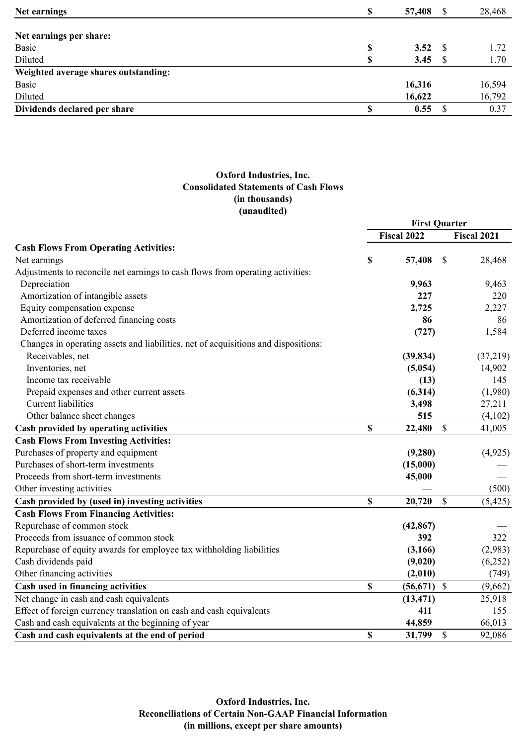| \$<br>57,408 | -S   | 28,468 |
|--------------|------|--------|
|              |      |        |
|              | - S  | 1.72   |
| \$<br>3.45   |      | 1.70   |
|              |      |        |
| 16,316       |      | 16,594 |
| 16,622       |      | 16,792 |
| 0.55         |      | 0.37   |
| S            | 3.52 |        |

## **Oxford Industries, Inc. Consolidated Statements of Cash Flows (in thousands) (unaudited)**

|                                                                                    | <b>First Quarter</b> |                    |              |                    |
|------------------------------------------------------------------------------------|----------------------|--------------------|--------------|--------------------|
|                                                                                    |                      | <b>Fiscal 2022</b> |              | <b>Fiscal 2021</b> |
| <b>Cash Flows From Operating Activities:</b>                                       |                      |                    |              |                    |
| Net earnings                                                                       | \$                   | 57,408             | $\mathbb{S}$ | 28,468             |
| Adjustments to reconcile net earnings to cash flows from operating activities:     |                      |                    |              |                    |
| Depreciation                                                                       |                      | 9,963              |              | 9,463              |
| Amortization of intangible assets                                                  |                      | 227                |              | 220                |
| Equity compensation expense                                                        |                      | 2,725              |              | 2,227              |
| Amortization of deferred financing costs                                           |                      | 86                 |              | 86                 |
| Deferred income taxes                                                              |                      | (727)              |              | 1,584              |
| Changes in operating assets and liabilities, net of acquisitions and dispositions: |                      |                    |              |                    |
| Receivables, net                                                                   |                      | (39, 834)          |              | (37,219)           |
| Inventories, net                                                                   |                      | (5,054)            |              | 14,902             |
| Income tax receivable                                                              |                      | (13)               |              | 145                |
| Prepaid expenses and other current assets                                          |                      | (6,314)            |              | (1,980)            |
| <b>Current</b> liabilities                                                         |                      | 3,498              |              | 27,211             |
| Other balance sheet changes                                                        |                      | 515                |              | (4,102)            |
| Cash provided by operating activities                                              | \$                   | 22,480             | $\mathbb{S}$ | 41,005             |
| <b>Cash Flows From Investing Activities:</b>                                       |                      |                    |              |                    |
| Purchases of property and equipment                                                |                      | (9,280)            |              | (4,925)            |
| Purchases of short-term investments                                                |                      | (15,000)           |              |                    |
| Proceeds from short-term investments                                               |                      | 45,000             |              |                    |
| Other investing activities                                                         |                      |                    |              | (500)              |
| Cash provided by (used in) investing activities                                    | \$                   | 20,720             | $\mathbb{S}$ | (5, 425)           |
| <b>Cash Flows From Financing Activities:</b>                                       |                      |                    |              |                    |
| Repurchase of common stock                                                         |                      | (42, 867)          |              |                    |
| Proceeds from issuance of common stock                                             |                      | 392                |              | 322                |
| Repurchase of equity awards for employee tax withholding liabilities               |                      | (3,166)            |              | (2,983)            |
| Cash dividends paid                                                                |                      | (9,020)            |              | (6,252)            |
| Other financing activities                                                         |                      | (2,010)            |              | (749)              |
| Cash used in financing activities                                                  | \$                   | $(56, 671)$ \$     |              | (9,662)            |
| Net change in cash and cash equivalents                                            |                      | (13, 471)          |              | 25,918             |
| Effect of foreign currency translation on cash and cash equivalents                |                      | 411                |              | 155                |
| Cash and cash equivalents at the beginning of year                                 |                      | 44,859             |              | 66,013             |
| Cash and cash equivalents at the end of period                                     | \$                   | 31,799             | $\mathbb{S}$ | 92,086             |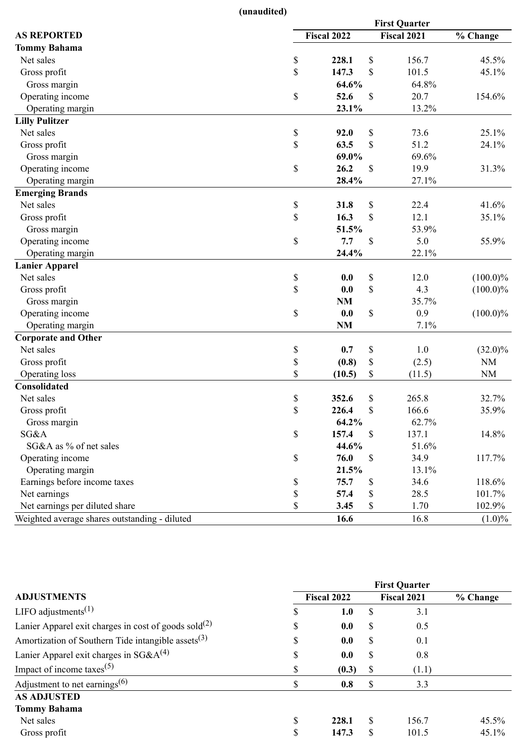**(unaudited)**

|                                               | <b>First Quarter</b> |             |              |             |             |  |  |
|-----------------------------------------------|----------------------|-------------|--------------|-------------|-------------|--|--|
| <b>AS REPORTED</b>                            |                      | Fiscal 2022 |              | Fiscal 2021 | % Change    |  |  |
| <b>Tommy Bahama</b>                           |                      |             |              |             |             |  |  |
| Net sales                                     | \$                   | 228.1       | \$           | 156.7       | 45.5%       |  |  |
| Gross profit                                  | \$                   | 147.3       | \$           | 101.5       | 45.1%       |  |  |
| Gross margin                                  |                      | 64.6%       |              | 64.8%       |             |  |  |
| Operating income                              | \$                   | 52.6        | \$           | 20.7        | 154.6%      |  |  |
| Operating margin                              |                      | 23.1%       |              | 13.2%       |             |  |  |
| <b>Lilly Pulitzer</b>                         |                      |             |              |             |             |  |  |
| Net sales                                     | \$                   | 92.0        | \$           | 73.6        | 25.1%       |  |  |
| Gross profit                                  | \$                   | 63.5        | \$           | 51.2        | 24.1%       |  |  |
| Gross margin                                  |                      | 69.0%       |              | 69.6%       |             |  |  |
| Operating income                              | \$                   | 26.2        | \$           | 19.9        | 31.3%       |  |  |
| Operating margin                              |                      | 28.4%       |              | 27.1%       |             |  |  |
| <b>Emerging Brands</b>                        |                      |             |              |             |             |  |  |
| Net sales                                     | $\mathbb S$          | 31.8        | \$           | 22.4        | 41.6%       |  |  |
| Gross profit                                  | \$                   | 16.3        | $\mathbb{S}$ | 12.1        | 35.1%       |  |  |
| Gross margin                                  |                      | 51.5%       |              | 53.9%       |             |  |  |
| Operating income                              | \$                   | 7.7         | \$           | 5.0         | 55.9%       |  |  |
| Operating margin                              |                      | 24.4%       |              | 22.1%       |             |  |  |
| <b>Lanier Apparel</b>                         |                      |             |              |             |             |  |  |
| Net sales                                     | \$                   | 0.0         | \$           | 12.0        | $(100.0)\%$ |  |  |
| Gross profit                                  | \$                   | 0.0         | \$           | 4.3         | $(100.0)\%$ |  |  |
| Gross margin                                  |                      | NM          |              | 35.7%       |             |  |  |
| Operating income                              | \$                   | 0.0         | \$           | 0.9         | $(100.0)\%$ |  |  |
| Operating margin                              |                      | NM          |              | 7.1%        |             |  |  |
| <b>Corporate and Other</b>                    |                      |             |              |             |             |  |  |
| Net sales                                     | \$                   | 0.7         | \$           | 1.0         | $(32.0)\%$  |  |  |
| Gross profit                                  | \$                   | (0.8)       | \$           | (2.5)       | $\rm NM$    |  |  |
| Operating loss                                | \$                   | (10.5)      | \$           | (11.5)      | NM          |  |  |
| Consolidated                                  |                      |             |              |             |             |  |  |
| Net sales                                     | \$                   | 352.6       | \$           | 265.8       | 32.7%       |  |  |
| Gross profit                                  | \$                   | 226.4       | \$           | 166.6       | 35.9%       |  |  |
| Gross margin                                  |                      | 64.2%       |              | 62.7%       |             |  |  |
| SG&A                                          | \$                   | 157.4       | \$           | 137.1       | 14.8%       |  |  |
| SG&A as % of net sales                        |                      | 44.6%       |              | 51.6%       |             |  |  |
| Operating income                              | \$                   | 76.0        | \$           | 34.9        | 117.7%      |  |  |
| Operating margin                              |                      | 21.5%       |              | 13.1%       |             |  |  |
| Earnings before income taxes                  | \$                   | 75.7        | \$           | 34.6        | 118.6%      |  |  |
| Net earnings                                  | \$                   | 57.4        | \$           | 28.5        | 101.7%      |  |  |
| Net earnings per diluted share                | \$                   | 3.45        | \$           | 1.70        | 102.9%      |  |  |
| Weighted average shares outstanding - diluted |                      | 16.6        |              | 16.8        | $(1.0)\%$   |  |  |

|                                                                  | <b>First Quarter</b> |       |     |                    |          |  |  |
|------------------------------------------------------------------|----------------------|-------|-----|--------------------|----------|--|--|
| <b>ADJUSTMENTS</b>                                               | Fiscal 2022          |       |     | <b>Fiscal 2021</b> | % Change |  |  |
| LIFO adjustments <sup>(1)</sup>                                  | S                    | 1.0   | \$. | 3.1                |          |  |  |
| Lanier Apparel exit charges in cost of goods sold <sup>(2)</sup> | \$                   | 0.0   | \$  | 0.5                |          |  |  |
| Amortization of Southern Tide intangible assets $^{(3)}$         | \$                   | 0.0   | \$  | 0.1                |          |  |  |
| Lanier Apparel exit charges in $SG&A^{(4)}$                      | \$                   | 0.0   | \$  | 0.8                |          |  |  |
| Impact of income taxes <sup>(5)</sup>                            | \$                   | (0.3) | S   | (1.1)              |          |  |  |
| Adjustment to net earnings <sup>(6)</sup>                        | \$                   | 0.8   | \$  | 3.3                |          |  |  |
| <b>AS ADJUSTED</b>                                               |                      |       |     |                    |          |  |  |
| <b>Tommy Bahama</b>                                              |                      |       |     |                    |          |  |  |
| Net sales                                                        | \$                   | 228.1 | S   | 156.7              | 45.5%    |  |  |
| Gross profit                                                     | \$                   | 147.3 | \$  | 101.5              | 45.1%    |  |  |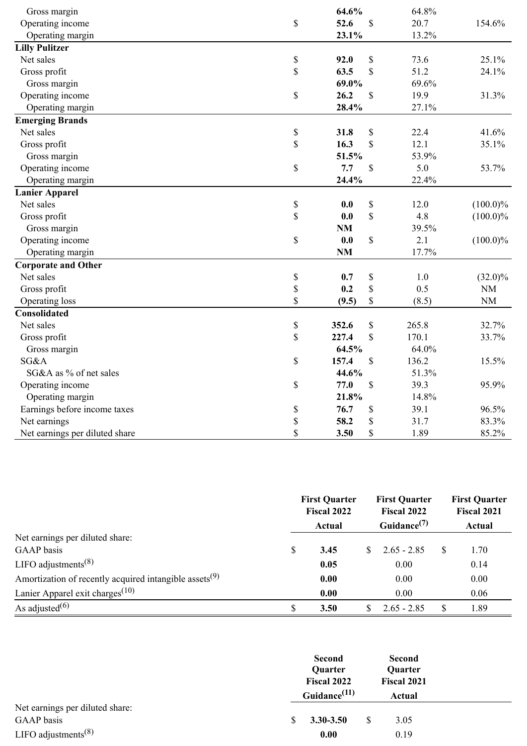| Gross margin                   |             | 64.6%     |              | 64.8% |             |
|--------------------------------|-------------|-----------|--------------|-------|-------------|
| Operating income               | \$          | 52.6      | $\mathbb{S}$ | 20.7  | 154.6%      |
| Operating margin               |             | 23.1%     |              | 13.2% |             |
| <b>Lilly Pulitzer</b>          |             |           |              |       |             |
| Net sales                      | $\mathbb S$ | 92.0      | \$           | 73.6  | 25.1%       |
| Gross profit                   | \$          | 63.5      | \$           | 51.2  | 24.1%       |
| Gross margin                   |             | 69.0%     |              | 69.6% |             |
| Operating income               | \$          | 26.2      | $\mathbb{S}$ | 19.9  | 31.3%       |
| Operating margin               |             | 28.4%     |              | 27.1% |             |
| <b>Emerging Brands</b>         |             |           |              |       |             |
| Net sales                      | $\mathbb S$ | 31.8      | \$           | 22.4  | 41.6%       |
| Gross profit                   | \$          | 16.3      | \$           | 12.1  | 35.1%       |
| Gross margin                   |             | 51.5%     |              | 53.9% |             |
| Operating income               | \$          | 7.7       | \$           | 5.0   | 53.7%       |
| Operating margin               |             | 24.4%     |              | 22.4% |             |
| <b>Lanier Apparel</b>          |             |           |              |       |             |
| Net sales                      | \$          | 0.0       | \$           | 12.0  | $(100.0)\%$ |
| Gross profit                   | \$          | 0.0       | \$           | 4.8   | $(100.0)\%$ |
| Gross margin                   |             | <b>NM</b> |              | 39.5% |             |
| Operating income               | \$          | 0.0       | \$           | 2.1   | $(100.0)\%$ |
| Operating margin               |             | <b>NM</b> |              | 17.7% |             |
| <b>Corporate and Other</b>     |             |           |              |       |             |
| Net sales                      | $\mathbb S$ | 0.7       | \$           | 1.0   | $(32.0)\%$  |
| Gross profit                   | \$          | 0.2       | \$           | 0.5   | $\rm{NM}$   |
| Operating loss                 | \$          | (9.5)     | \$           | (8.5) | $\rm{NM}$   |
| <b>Consolidated</b>            |             |           |              |       |             |
| Net sales                      | $\mathbb S$ | 352.6     | \$           | 265.8 | 32.7%       |
| Gross profit                   | \$          | 227.4     | \$           | 170.1 | 33.7%       |
| Gross margin                   |             | 64.5%     |              | 64.0% |             |
| SG&A                           | \$          | 157.4     | \$           | 136.2 | 15.5%       |
| SG&A as % of net sales         |             | 44.6%     |              | 51.3% |             |
| Operating income               | \$          | 77.0      | \$           | 39.3  | 95.9%       |
| Operating margin               |             | 21.8%     |              | 14.8% |             |
| Earnings before income taxes   | \$          | 76.7      | \$           | 39.1  | 96.5%       |
| Net earnings                   | \$          | 58.2      | \$           | 31.7  | 83.3%       |
| Net earnings per diluted share | \$          | 3.50      | \$           | 1.89  | 85.2%       |

|                                                                    | <b>First Quarter</b><br>Fiscal 2022<br>Actual |     | <b>First Quarter</b><br><b>Fiscal 2022</b><br>Guidance $(7)$ |     | <b>First Quarter</b><br><b>Fiscal 2021</b><br>Actual |
|--------------------------------------------------------------------|-----------------------------------------------|-----|--------------------------------------------------------------|-----|------------------------------------------------------|
| Net earnings per diluted share:                                    |                                               |     |                                                              |     |                                                      |
| <b>GAAP</b> basis                                                  | \$<br>3.45                                    | SS. | $2.65 - 2.85$                                                | -S  | 1.70                                                 |
| LIFO adjustments <sup><math>(8)</math></sup>                       | 0.05                                          |     | 0.00                                                         |     | 0.14                                                 |
| Amortization of recently acquired intangible assets <sup>(9)</sup> | 0.00                                          |     | 0.00                                                         |     | 0.00                                                 |
| Lanier Apparel exit charges <sup><math>(10)</math></sup>           | 0.00                                          |     | 0.00                                                         |     | 0.06                                                 |
| As adjusted $(6)$                                                  | \$<br>3.50                                    |     | $2.65 - 2.85$                                                | \$. | 1.89                                                 |

|                                              |              | <b>Second</b><br>Quarter |   | <b>Second</b><br><b>Quarter</b> |  |
|----------------------------------------------|--------------|--------------------------|---|---------------------------------|--|
|                                              |              | <b>Fiscal 2022</b>       |   | Fiscal 2021                     |  |
|                                              |              | Guidance <sup>(11)</sup> |   | Actual                          |  |
| Net earnings per diluted share:              |              |                          |   |                                 |  |
| GAAP basis                                   | <sup>S</sup> | $3.30 - 3.50$            | S | 3.05                            |  |
| LIFO adjustments <sup><math>(8)</math></sup> |              | 0.00                     |   | 0.19                            |  |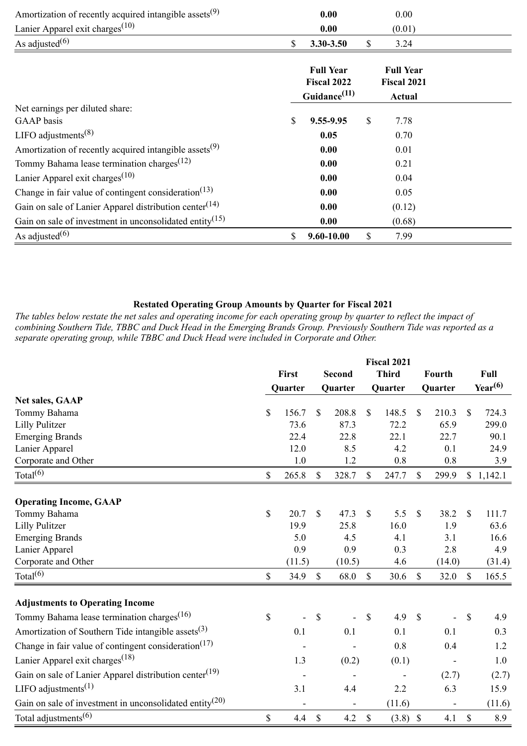| Amortization of recently acquired intangible assets <sup>(9)</sup>            | 0.00                                                        | 0.00                                             |  |
|-------------------------------------------------------------------------------|-------------------------------------------------------------|--------------------------------------------------|--|
| Lanier Apparel exit charges <sup><math>(10)</math></sup>                      | 0.00                                                        | (0.01)                                           |  |
| As adjusted $(6)$                                                             | \$<br>3.30-3.50                                             | \$<br>3.24                                       |  |
|                                                                               | <b>Full Year</b><br>Fiscal 2022<br>Guidance <sup>(11)</sup> | <b>Full Year</b><br>Fiscal 2021<br><b>Actual</b> |  |
| Net earnings per diluted share:                                               |                                                             |                                                  |  |
| GAAP basis                                                                    | \$<br>9.55-9.95                                             | \$<br>7.78                                       |  |
| LIFO adjustments <sup><math>(8)</math></sup>                                  | 0.05                                                        | 0.70                                             |  |
| Amortization of recently acquired intangible assets <sup>(9)</sup>            | 0.00                                                        | 0.01                                             |  |
| Tommy Bahama lease termination charges <sup><math>(12)</math></sup>           | 0.00                                                        | 0.21                                             |  |
| Lanier Apparel exit charges <sup><math>(10)</math></sup>                      | 0.00                                                        | 0.04                                             |  |
| Change in fair value of contingent consideration <sup><math>(13)</math></sup> | 0.00                                                        | 0.05                                             |  |
| Gain on sale of Lanier Apparel distribution center <sup>(14)</sup>            | 0.00                                                        | (0.12)                                           |  |
| Gain on sale of investment in unconsolidated entity <sup>(15)</sup>           | 0.00                                                        | (0.68)                                           |  |
| As adjusted $(6)$                                                             | \$<br>9.60-10.00                                            | \$<br>7.99                                       |  |

## **Restated Operating Group Amounts by Quarter for Fiscal 2021**

*The tables below restate the net sales and operating income for each operating group by quarter to reflect the impact of combining Southern Tide, TBBC and Duck Head in the Emerging Brands Group. Previously Southern Tide was reported as a separate operating group, while TBBC and Duck Head were included in Corporate and Other.*

|                                                                               |       |         | <b>Fiscal 2021</b> |               |              |              |               |                              |               |              |
|-------------------------------------------------------------------------------|-------|---------|--------------------|---------------|--------------|--------------|---------------|------------------------------|---------------|--------------|
|                                                                               | First |         |                    | <b>Second</b> |              | <b>Third</b> |               | Fourth                       |               | Full         |
|                                                                               |       | Quarter |                    | Quarter       |              | Quarter      |               | Quarter                      |               | $Year^{(6)}$ |
| <b>Net sales, GAAP</b>                                                        |       |         |                    |               |              |              |               |                              |               |              |
| Tommy Bahama                                                                  | \$    | 156.7   | \$                 | 208.8         | \$           | 148.5        | $\mathbb{S}$  | 210.3                        | \$            | 724.3        |
| <b>Lilly Pulitzer</b>                                                         |       | 73.6    |                    | 87.3          |              | 72.2         |               | 65.9                         |               | 299.0        |
| <b>Emerging Brands</b>                                                        |       | 22.4    |                    | 22.8          |              | 22.1         |               | 22.7                         |               | 90.1         |
| Lanier Apparel                                                                |       | 12.0    |                    | 8.5           |              | 4.2          |               | 0.1                          |               | 24.9         |
| Corporate and Other                                                           |       | 1.0     |                    | 1.2           |              | 0.8          |               | 0.8                          |               | 3.9          |
| Total $^{(6)}$                                                                | \$    | 265.8   | $\mathbb{S}$       | 328.7         | $\mathbb{S}$ | 247.7        | $\mathbb{S}$  | 299.9                        |               | \$1,142.1    |
| <b>Operating Income, GAAP</b>                                                 |       |         |                    |               |              |              |               |                              |               |              |
| Tommy Bahama                                                                  | \$    | 20.7    | $\mathcal{S}$      | 47.3          | $\mathbf S$  | 5.5          | \$            | 38.2                         | $\mathbb{S}$  | 111.7        |
| <b>Lilly Pulitzer</b>                                                         |       | 19.9    |                    | 25.8          |              | 16.0         |               | 1.9                          |               | 63.6         |
| <b>Emerging Brands</b>                                                        |       | 5.0     |                    | 4.5           |              | 4.1          |               | 3.1                          |               | 16.6         |
| Lanier Apparel                                                                |       | 0.9     |                    | 0.9           |              | 0.3          |               | 2.8                          |               | 4.9          |
| Corporate and Other                                                           |       | (11.5)  |                    | (10.5)        |              | 4.6          |               | (14.0)                       |               | (31.4)       |
| Total $^{(6)}$                                                                | \$    | 34.9    | $\mathcal{S}$      | 68.0          | $\mathbf S$  | 30.6         | <sup>\$</sup> | 32.0                         | $\mathbb{S}$  | 165.5        |
| <b>Adjustments to Operating Income</b>                                        |       |         |                    |               |              |              |               |                              |               |              |
| Tommy Bahama lease termination charges <sup>(16)</sup>                        | \$    |         | $\mathcal{S}$      |               | $\mathbf S$  | 4.9          | $\mathcal{S}$ |                              | $\mathbb{S}$  | 4.9          |
| Amortization of Southern Tide intangible assets <sup>(3)</sup>                |       | 0.1     |                    | 0.1           |              | 0.1          |               | 0.1                          |               | 0.3          |
| Change in fair value of contingent consideration <sup><math>(17)</math></sup> |       |         |                    |               |              | 0.8          |               | 0.4                          |               | 1.2          |
| Lanier Apparel exit charges <sup>(18)</sup>                                   |       | 1.3     |                    | (0.2)         |              | (0.1)        |               | $\qquad \qquad \blacksquare$ |               | 1.0          |
| Gain on sale of Lanier Apparel distribution center <sup>(19)</sup>            |       |         |                    |               |              |              |               | (2.7)                        |               | (2.7)        |
| LIFO adjustments <sup><math>(1)</math></sup>                                  |       | 3.1     |                    | 4.4           |              | 2.2          |               | 6.3                          |               | 15.9         |
| Gain on sale of investment in unconsolidated entity <sup>(20)</sup>           |       |         |                    |               |              | (11.6)       |               |                              |               | (11.6)       |
| Total adjustments <sup><math>(6)</math></sup>                                 | \$    | 4.4     | $\mathcal{S}$      | 4.2           | $\mathbb{S}$ | $(3.8)$ \$   |               | 4.1                          | $\mathcal{S}$ | 8.9          |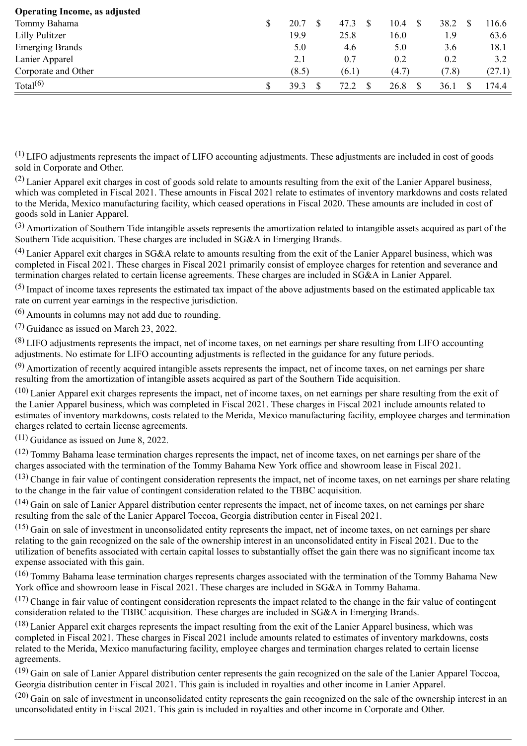| <b>Operating Income, as adjusted</b> |       |       |              |       |        |
|--------------------------------------|-------|-------|--------------|-------|--------|
| Tommy Bahama                         | 20.7  | 47.3  | 10.4<br>- \$ | 38.2  | 116.6  |
| Lilly Pulitzer                       | 19.9  | 25.8  | 16.0         | 1.9   | 63.6   |
| <b>Emerging Brands</b>               | 5.0   | 4.6   | 5.0          | 3.6   | 18.1   |
| Lanier Apparel                       | 2.1   | 0.7   | 0.2          | 0.2   | 3.2    |
| Corporate and Other                  | (8.5) | (6.1) | (4.7)        | (7.8) | (27.1) |
| Total $(6)$                          | 39.3  | 72 Z  | 26.8         | 36.1  | 174.4  |

(1) LIFO adjustments represents the impact of LIFO accounting adjustments. These adjustments are included in cost of goods sold in Corporate and Other.

 $(2)$  Lanier Apparel exit charges in cost of goods sold relate to amounts resulting from the exit of the Lanier Apparel business, which was completed in Fiscal 2021. These amounts in Fiscal 2021 relate to estimates of inventory markdowns and costs related to the Merida, Mexico manufacturing facility, which ceased operations in Fiscal 2020. These amounts are included in cost of goods sold in Lanier Apparel.

(3) Amortization of Southern Tide intangible assets represents the amortization related to intangible assets acquired as part of the Southern Tide acquisition. These charges are included in SG&A in Emerging Brands.

 $^{(4)}$  Lanier Apparel exit charges in SG&A relate to amounts resulting from the exit of the Lanier Apparel business, which was completed in Fiscal 2021. These charges in Fiscal 2021 primarily consist of employee charges for retention and severance and termination charges related to certain license agreements. These charges are included in SG&A in Lanier Apparel.

 $(5)$  Impact of income taxes represents the estimated tax impact of the above adjustments based on the estimated applicable tax rate on current year earnings in the respective jurisdiction.

(6) Amounts in columns may not add due to rounding.

(7) Guidance as issued on March 23, 2022.

(8) LIFO adjustments represents the impact, net of income taxes, on net earnings per share resulting from LIFO accounting adjustments. No estimate for LIFO accounting adjustments is reflected in the guidance for any future periods.

(9) Amortization of recently acquired intangible assets represents the impact, net of income taxes, on net earnings per share resulting from the amortization of intangible assets acquired as part of the Southern Tide acquisition.

 $(10)$  Lanier Apparel exit charges represents the impact, net of income taxes, on net earnings per share resulting from the exit of the Lanier Apparel business, which was completed in Fiscal 2021. These charges in Fiscal 2021 include amounts related to estimates of inventory markdowns, costs related to the Merida, Mexico manufacturing facility, employee charges and termination charges related to certain license agreements.

 $(11)$  Guidance as issued on June 8, 2022.

 $(12)$  Tommy Bahama lease termination charges represents the impact, net of income taxes, on net earnings per share of the charges associated with the termination of the Tommy Bahama New York office and showroom lease in Fiscal 2021.

 $(13)$  Change in fair value of contingent consideration represents the impact, net of income taxes, on net earnings per share relating to the change in the fair value of contingent consideration related to the TBBC acquisition.

(14) Gain on sale of Lanier Apparel distribution center represents the impact, net of income taxes, on net earnings per share resulting from the sale of the Lanier Apparel Toccoa, Georgia distribution center in Fiscal 2021.

(15) Gain on sale of investment in unconsolidated entity represents the impact, net of income taxes, on net earnings per share relating to the gain recognized on the sale of the ownership interest in an unconsolidated entity in Fiscal 2021. Due to the utilization of benefits associated with certain capital losses to substantially offset the gain there was no significant income tax expense associated with this gain.

(16) Tommy Bahama lease termination charges represents charges associated with the termination of the Tommy Bahama New York office and showroom lease in Fiscal 2021. These charges are included in SG&A in Tommy Bahama.

 $(17)$  Change in fair value of contingent consideration represents the impact related to the change in the fair value of contingent consideration related to the TBBC acquisition. These charges are included in SG&A in Emerging Brands.

 $(18)$  Lanier Apparel exit charges represents the impact resulting from the exit of the Lanier Apparel business, which was completed in Fiscal 2021. These charges in Fiscal 2021 include amounts related to estimates of inventory markdowns, costs related to the Merida, Mexico manufacturing facility, employee charges and termination charges related to certain license agreements.

(19) Gain on sale of Lanier Apparel distribution center represents the gain recognized on the sale of the Lanier Apparel Toccoa, Georgia distribution center in Fiscal 2021. This gain is included in royalties and other income in Lanier Apparel.

 $(20)$  Gain on sale of investment in unconsolidated entity represents the gain recognized on the sale of the ownership interest in an unconsolidated entity in Fiscal 2021. This gain is included in royalties and other income in Corporate and Other.